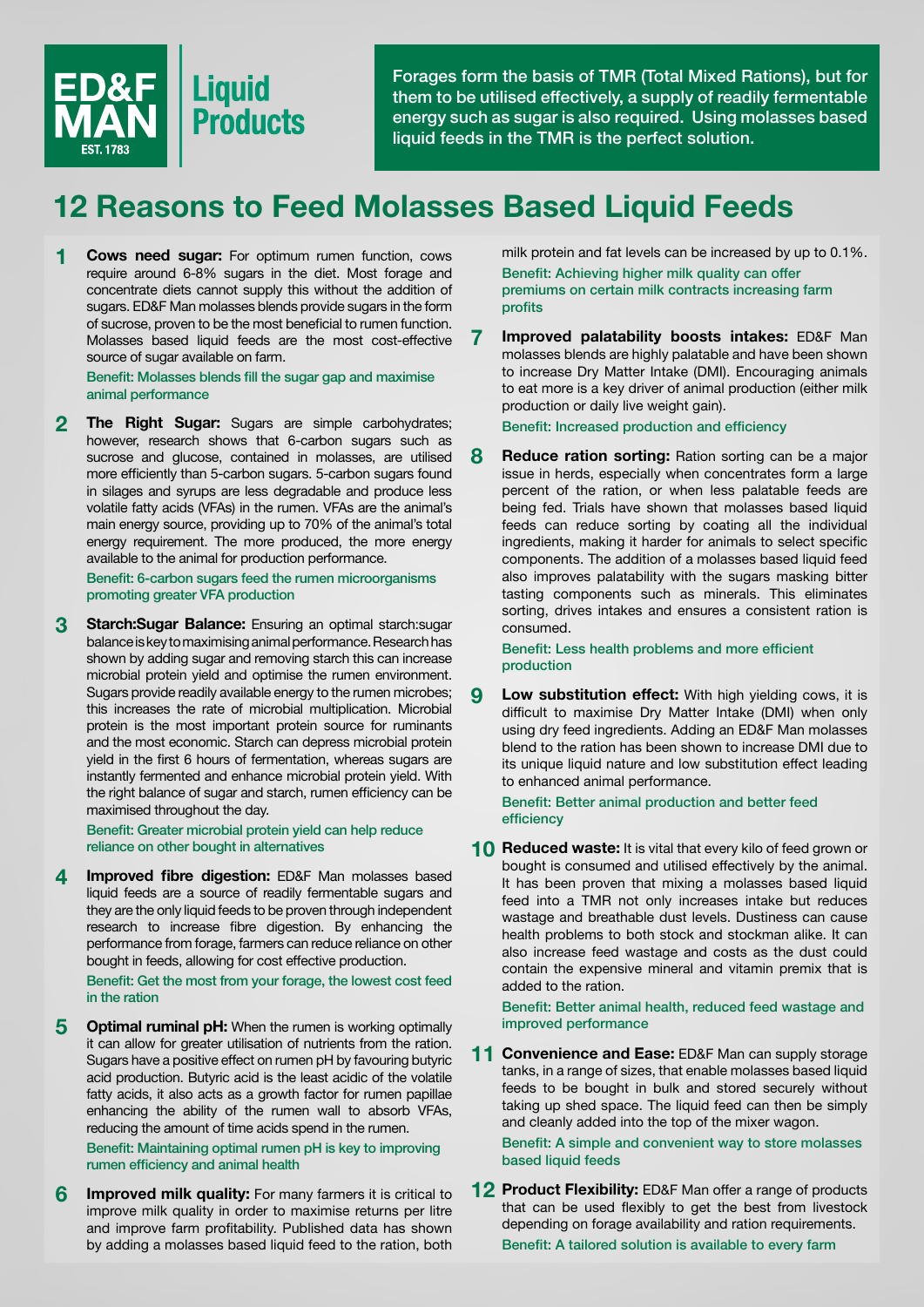

Forages form the basis of TMR (Total Mixed Rations), but for them to be utilised effectively, a supply of readily fermentable energy such as sugar is also required. Using molasses based liquid feeds in the TMR is the perfect solution.

## **12 Reasons to Feed Molasses Based Liquid Feeds**

**1 Cows need sugar:** For optimum rumen function, cows require around 6-8% sugars in the diet. Most forage and concentrate diets cannot supply this without the addition of sugars. ED&F Man molasses blends provide sugars in the form of sucrose, proven to be the most beneficial to rumen function. Molasses based liquid feeds are the most cost-effective source of sugar available on farm.

Benefit: Molasses blends fill the sugar gap and maximise animal performance

**2 The Right Sugar:** Sugars are simple carbohydrates; however, research shows that 6-carbon sugars such as sucrose and glucose, contained in molasses, are utilised more efficiently than 5-carbon sugars. 5-carbon sugars found in silages and syrups are less degradable and produce less volatile fatty acids (VFAs) in the rumen. VFAs are the animal's main energy source, providing up to 70% of the animal's total energy requirement. The more produced, the more energy available to the animal for production performance.

 Benefit: 6-carbon sugars feed the rumen microorganisms promoting greater VFA production

**3 Starch:Sugar Balance:** Ensuring an optimal starch:sugar balance is key to maximising animal performance. Research has shown by adding sugar and removing starch this can increase microbial protein yield and optimise the rumen environment. Sugars provide readily available energy to the rumen microbes; this increases the rate of microbial multiplication. Microbial protein is the most important protein source for ruminants and the most economic. Starch can depress microbial protein yield in the first 6 hours of fermentation, whereas sugars are instantly fermented and enhance microbial protein yield. With the right balance of sugar and starch, rumen efficiency can be maximised throughout the day.

 Benefit: Greater microbial protein yield can help reduce reliance on other bought in alternatives

**4 Improved fibre digestion:** ED&F Man molasses based liquid feeds are a source of readily fermentable sugars and they are the only liquid feeds to be proven through independent research to increase fibre digestion. By enhancing the performance from forage, farmers can reduce reliance on other bought in feeds, allowing for cost effective production.

 Benefit: Get the most from your forage, the lowest cost feed in the ration

**5** Optimal ruminal pH: When the rumen is working optimally it can allow for greater utilisation of nutrients from the ration. Sugars have a positive effect on rumen pH by favouring butyric acid production. Butyric acid is the least acidic of the volatile fatty acids, it also acts as a growth factor for rumen papillae enhancing the ability of the rumen wall to absorb VFAs, reducing the amount of time acids spend in the rumen.

Benefit: Maintaining optimal rumen pH is key to improving rumen efficiency and animal health

**6** Improved milk quality: For many farmers it is critical to improve milk quality in order to maximise returns per litre and improve farm profitability. Published data has shown by adding a molasses based liquid feed to the ration, both milk protein and fat levels can be increased by up to 0.1%. Benefit: Achieving higher milk quality can offer premiums on certain milk contracts increasing farm profits

**7 Improved palatability boosts intakes:** ED&F Man molasses blends are highly palatable and have been shown to increase Dry Matter Intake (DMI). Encouraging animals to eat more is a key driver of animal production (either milk production or daily live weight gain).

Benefit: Increased production and efficiency

**8** Reduce ration sorting: Ration sorting can be a major issue in herds, especially when concentrates form a large percent of the ration, or when less palatable feeds are being fed. Trials have shown that molasses based liquid feeds can reduce sorting by coating all the individual ingredients, making it harder for animals to select specific components. The addition of a molasses based liquid feed also improves palatability with the sugars masking bitter tasting components such as minerals. This eliminates sorting, drives intakes and ensures a consistent ration is consumed.

Benefit: Less health problems and more efficient production

**9** Low substitution effect: With high yielding cows, it is difficult to maximise Dry Matter Intake (DMI) when only using dry feed ingredients. Adding an ED&F Man molasses blend to the ration has been shown to increase DMI due to its unique liquid nature and low substitution effect leading to enhanced animal performance.

 Benefit: Better animal production and better feed efficiency

**10 Reduced waste:** It is vital that every kilo of feed grown or bought is consumed and utilised effectively by the animal. It has been proven that mixing a molasses based liquid feed into a TMR not only increases intake but reduces wastage and breathable dust levels. Dustiness can cause health problems to both stock and stockman alike. It can also increase feed wastage and costs as the dust could contain the expensive mineral and vitamin premix that is added to the ration.

 Benefit: Better animal health, reduced feed wastage and improved performance

**11 Convenience and Ease:** ED&F Man can supply storage tanks, in a range of sizes, that enable molasses based liquid feeds to be bought in bulk and stored securely without taking up shed space. The liquid feed can then be simply and cleanly added into the top of the mixer wagon.

 Benefit: A simple and convenient way to store molasses based liquid feeds

**12 Product Flexibility:** ED&F Man offer a range of products that can be used flexibly to get the best from livestock depending on forage availability and ration requirements. Benefit: A tailored solution is available to every farm